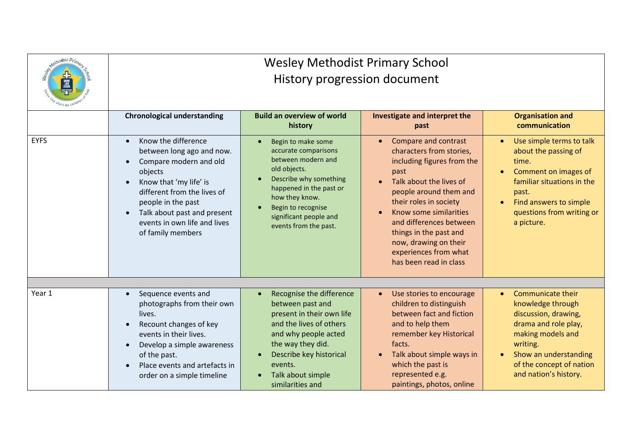| Methodist Prima | <b>Wesley Methodist Primary School</b>                                                                                                                                                                                                                                             |                                                                                                                                                                                                                                  |                                                                                                                                                                                                                                                                                                                                         |                                                                                                                                                                                                                           |
|-----------------|------------------------------------------------------------------------------------------------------------------------------------------------------------------------------------------------------------------------------------------------------------------------------------|----------------------------------------------------------------------------------------------------------------------------------------------------------------------------------------------------------------------------------|-----------------------------------------------------------------------------------------------------------------------------------------------------------------------------------------------------------------------------------------------------------------------------------------------------------------------------------------|---------------------------------------------------------------------------------------------------------------------------------------------------------------------------------------------------------------------------|
|                 | History progression document                                                                                                                                                                                                                                                       |                                                                                                                                                                                                                                  |                                                                                                                                                                                                                                                                                                                                         |                                                                                                                                                                                                                           |
|                 | <b>Chronological understanding</b>                                                                                                                                                                                                                                                 | <b>Build an overview of world</b><br>history                                                                                                                                                                                     | Investigate and interpret the<br>past                                                                                                                                                                                                                                                                                                   | <b>Organisation and</b><br>communication                                                                                                                                                                                  |
| <b>EYFS</b>     | Know the difference<br>$\bullet$<br>between long ago and now.<br>Compare modern and old<br>objects<br>Know that 'my life' is<br>different from the lives of<br>people in the past<br>Talk about past and present<br>$\bullet$<br>events in own life and lives<br>of family members | Begin to make some<br>accurate comparisons<br>between modern and<br>old objects.<br>Describe why something<br>happened in the past or<br>how they know.<br>Begin to recognise<br>significant people and<br>events from the past. | <b>Compare and contrast</b><br>characters from stories,<br>including figures from the<br>past<br>Talk about the lives of<br>people around them and<br>their roles in society<br>Know some similarities<br>and differences between<br>things in the past and<br>now, drawing on their<br>experiences from what<br>has been read in class | Use simple terms to talk<br>$\bullet$<br>about the passing of<br>time.<br>Comment on images of<br>familiar situations in the<br>past.<br>Find answers to simple<br>questions from writing or<br>a picture.                |
|                 |                                                                                                                                                                                                                                                                                    |                                                                                                                                                                                                                                  |                                                                                                                                                                                                                                                                                                                                         |                                                                                                                                                                                                                           |
| Year 1          | Sequence events and<br>$\bullet$<br>photographs from their own<br>lives.<br>Recount changes of key<br>events in their lives.<br>Develop a simple awareness<br>of the past.<br>Place events and artefacts in<br>order on a simple timeline                                          | Recognise the difference<br>$\bullet$<br>between past and<br>present in their own life<br>and the lives of others<br>and why people acted<br>the way they did.<br>Describe key historical<br>events.<br>Talk about simple        | Use stories to encourage<br>children to distinguish<br>between fact and fiction<br>and to help them<br>remember key Historical<br>facts.<br>Talk about simple ways in<br>which the past is<br>represented e.g.<br>paintings, photos, online                                                                                             | <b>Communicate their</b><br>$\bullet$<br>knowledge through<br>discussion, drawing,<br>drama and role play,<br>making models and<br>writing.<br>Show an understanding<br>of the concept of nation<br>and nation's history. |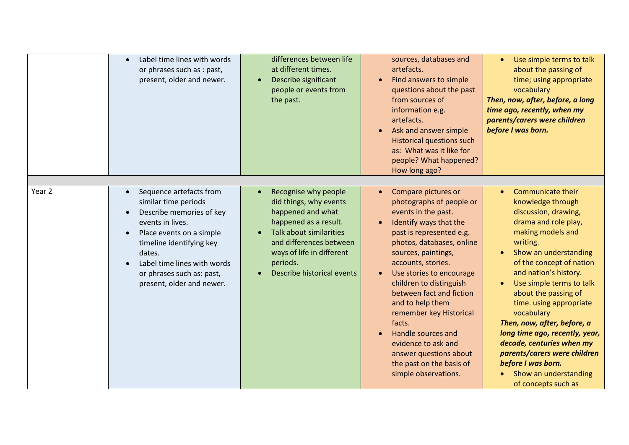|                   | Label time lines with words<br>or phrases such as : past,<br>present, older and newer.                                                                                                                                                                     | differences between life<br>at different times.<br>Describe significant<br>people or events from<br>the past.                                                                                                                    | sources, databases and<br>artefacts.<br>Find answers to simple<br>$\bullet$<br>questions about the past<br>from sources of<br>information e.g.<br>artefacts.<br>Ask and answer simple<br>$\bullet$<br><b>Historical questions such</b><br>as: What was it like for<br>people? What happened?<br>How long ago?                                                                                                                                                                                           | Use simple terms to talk<br>$\bullet$<br>about the passing of<br>time; using appropriate<br>vocabulary<br>Then, now, after, before, a long<br>time ago, recently, when my<br>parents/carers were children<br>before I was born.                                                                                                                                                                                                                                                                                            |
|-------------------|------------------------------------------------------------------------------------------------------------------------------------------------------------------------------------------------------------------------------------------------------------|----------------------------------------------------------------------------------------------------------------------------------------------------------------------------------------------------------------------------------|---------------------------------------------------------------------------------------------------------------------------------------------------------------------------------------------------------------------------------------------------------------------------------------------------------------------------------------------------------------------------------------------------------------------------------------------------------------------------------------------------------|----------------------------------------------------------------------------------------------------------------------------------------------------------------------------------------------------------------------------------------------------------------------------------------------------------------------------------------------------------------------------------------------------------------------------------------------------------------------------------------------------------------------------|
| Year <sub>2</sub> | Sequence artefacts from<br>similar time periods<br>Describe memories of key<br>events in lives.<br>Place events on a simple<br>timeline identifying key<br>dates.<br>Label time lines with words<br>or phrases such as: past,<br>present, older and newer. | Recognise why people<br>did things, why events<br>happened and what<br>happened as a result.<br><b>Talk about similarities</b><br>and differences between<br>ways of life in different<br>periods.<br>Describe historical events | Compare pictures or<br>$\bullet$<br>photographs of people or<br>events in the past.<br>Identify ways that the<br>past is represented e.g.<br>photos, databases, online<br>sources, paintings,<br>accounts, stories.<br>Use stories to encourage<br>children to distinguish<br>between fact and fiction<br>and to help them<br>remember key Historical<br>facts.<br>Handle sources and<br>$\bullet$<br>evidence to ask and<br>answer questions about<br>the past on the basis of<br>simple observations. | <b>Communicate their</b><br>$\bullet$<br>knowledge through<br>discussion, drawing,<br>drama and role play,<br>making models and<br>writing.<br>Show an understanding<br>of the concept of nation<br>and nation's history.<br>Use simple terms to talk<br>about the passing of<br>time. using appropriate<br>vocabulary<br>Then, now, after, before, a<br>long time ago, recently, year,<br>decade, centuries when my<br>parents/carers were children<br>before I was born.<br>Show an understanding<br>of concepts such as |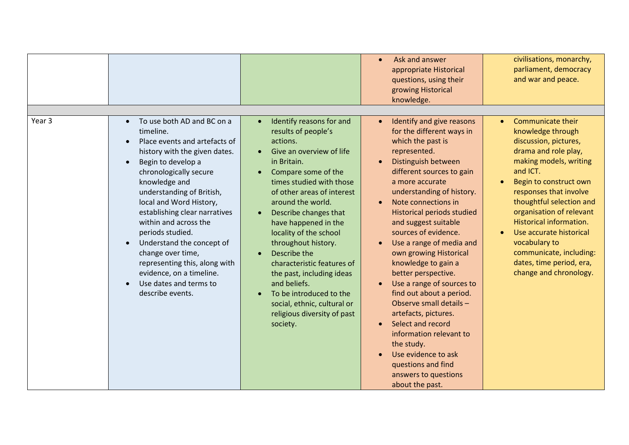|        |                                                                                                                                                                                                                                                                                                                                                                                                                                                                                                                      |                                                                                                                                                                                                                                                                                                                                                                                                                                                                                                                | Ask and answer<br>$\bullet$<br>appropriate Historical<br>questions, using their<br>growing Historical<br>knowledge.                                                                                                                                                                                                                                                                                                                                                                                                                                                                                                                                                               | civilisations, monarchy,<br>parliament, democracy<br>and war and peace.                                                                                                                                                                                                                                                                                                                           |
|--------|----------------------------------------------------------------------------------------------------------------------------------------------------------------------------------------------------------------------------------------------------------------------------------------------------------------------------------------------------------------------------------------------------------------------------------------------------------------------------------------------------------------------|----------------------------------------------------------------------------------------------------------------------------------------------------------------------------------------------------------------------------------------------------------------------------------------------------------------------------------------------------------------------------------------------------------------------------------------------------------------------------------------------------------------|-----------------------------------------------------------------------------------------------------------------------------------------------------------------------------------------------------------------------------------------------------------------------------------------------------------------------------------------------------------------------------------------------------------------------------------------------------------------------------------------------------------------------------------------------------------------------------------------------------------------------------------------------------------------------------------|---------------------------------------------------------------------------------------------------------------------------------------------------------------------------------------------------------------------------------------------------------------------------------------------------------------------------------------------------------------------------------------------------|
| Year 3 | To use both AD and BC on a<br>$\bullet$<br>timeline.<br>Place events and artefacts of<br>history with the given dates.<br>Begin to develop a<br>$\bullet$<br>chronologically secure<br>knowledge and<br>understanding of British,<br>local and Word History,<br>establishing clear narratives<br>within and across the<br>periods studied.<br>Understand the concept of<br>$\bullet$<br>change over time,<br>representing this, along with<br>evidence, on a timeline.<br>Use dates and terms to<br>describe events. | Identify reasons for and<br>results of people's<br>actions.<br>Give an overview of life<br>in Britain.<br>Compare some of the<br>times studied with those<br>of other areas of interest<br>around the world.<br>Describe changes that<br>have happened in the<br>locality of the school<br>throughout history.<br>Describe the<br>characteristic features of<br>the past, including ideas<br>and beliefs.<br>To be introduced to the<br>social, ethnic, cultural or<br>religious diversity of past<br>society. | Identify and give reasons<br>for the different ways in<br>which the past is<br>represented.<br>Distinguish between<br>different sources to gain<br>a more accurate<br>understanding of history.<br>Note connections in<br><b>Historical periods studied</b><br>and suggest suitable<br>sources of evidence.<br>Use a range of media and<br>own growing Historical<br>knowledge to gain a<br>better perspective.<br>Use a range of sources to<br>find out about a period.<br>Observe small details -<br>artefacts, pictures.<br>Select and record<br>information relevant to<br>the study.<br>Use evidence to ask<br>questions and find<br>answers to questions<br>about the past. | Communicate their<br>knowledge through<br>discussion, pictures,<br>drama and role play,<br>making models, writing<br>and ICT.<br>Begin to construct own<br>responses that involve<br>thoughtful selection and<br>organisation of relevant<br>Historical information.<br>Use accurate historical<br>vocabulary to<br>communicate, including:<br>dates, time period, era,<br>change and chronology. |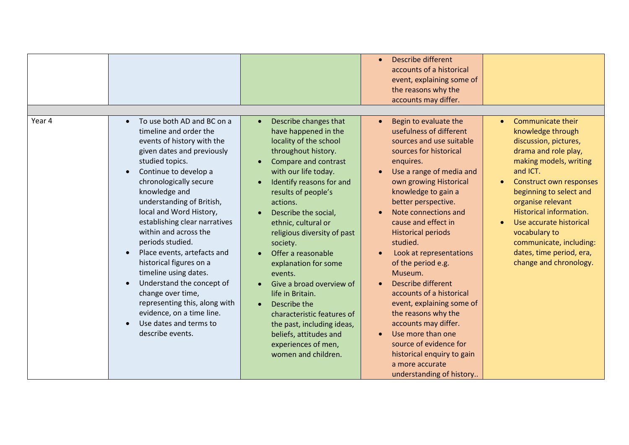|        |                                                                                                                                                                                                                                                                                                                                                                                                                                                                                                                                                                                                                                                                 |                                                                                                                                                                                                                                                                                                                                                                                                                                                                                                                                                                      | <b>Describe different</b><br>accounts of a historical<br>event, explaining some of<br>the reasons why the<br>accounts may differ.                                                                                                                                                                                                                                                                                                                                                                                                                                                                                                            |                                                                                                                                                                                                                                                                                                                                                                         |
|--------|-----------------------------------------------------------------------------------------------------------------------------------------------------------------------------------------------------------------------------------------------------------------------------------------------------------------------------------------------------------------------------------------------------------------------------------------------------------------------------------------------------------------------------------------------------------------------------------------------------------------------------------------------------------------|----------------------------------------------------------------------------------------------------------------------------------------------------------------------------------------------------------------------------------------------------------------------------------------------------------------------------------------------------------------------------------------------------------------------------------------------------------------------------------------------------------------------------------------------------------------------|----------------------------------------------------------------------------------------------------------------------------------------------------------------------------------------------------------------------------------------------------------------------------------------------------------------------------------------------------------------------------------------------------------------------------------------------------------------------------------------------------------------------------------------------------------------------------------------------------------------------------------------------|-------------------------------------------------------------------------------------------------------------------------------------------------------------------------------------------------------------------------------------------------------------------------------------------------------------------------------------------------------------------------|
| Year 4 | To use both AD and BC on a<br>$\bullet$<br>timeline and order the<br>events of history with the<br>given dates and previously<br>studied topics.<br>Continue to develop a<br>$\bullet$<br>chronologically secure<br>knowledge and<br>understanding of British,<br>local and Word History,<br>establishing clear narratives<br>within and across the<br>periods studied.<br>Place events, artefacts and<br>$\bullet$<br>historical figures on a<br>timeline using dates.<br>Understand the concept of<br>$\bullet$<br>change over time,<br>representing this, along with<br>evidence, on a time line.<br>Use dates and terms to<br>$\bullet$<br>describe events. | Describe changes that<br>have happened in the<br>locality of the school<br>throughout history.<br>Compare and contrast<br>with our life today.<br>Identify reasons for and<br>results of people's<br>actions.<br>Describe the social,<br>ethnic, cultural or<br>religious diversity of past<br>society.<br>Offer a reasonable<br>explanation for some<br>events.<br>Give a broad overview of<br>life in Britain.<br>Describe the<br>characteristic features of<br>the past, including ideas,<br>beliefs, attitudes and<br>experiences of men,<br>women and children. | Begin to evaluate the<br>usefulness of different<br>sources and use suitable<br>sources for historical<br>enquires.<br>Use a range of media and<br>own growing Historical<br>knowledge to gain a<br>better perspective.<br>Note connections and<br>cause and effect in<br><b>Historical periods</b><br>studied.<br>Look at representations<br>of the period e.g.<br>Museum.<br><b>Describe different</b><br>accounts of a historical<br>event, explaining some of<br>the reasons why the<br>accounts may differ.<br>Use more than one<br>source of evidence for<br>historical enquiry to gain<br>a more accurate<br>understanding of history | <b>Communicate their</b><br>knowledge through<br>discussion, pictures,<br>drama and role play,<br>making models, writing<br>and ICT.<br>Construct own responses<br>beginning to select and<br>organise relevant<br>Historical information.<br>Use accurate historical<br>vocabulary to<br>communicate, including:<br>dates, time period, era,<br>change and chronology. |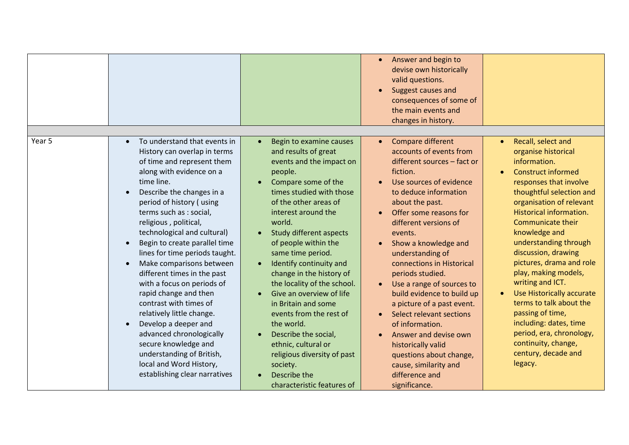|        |                                                                                                                                                                                                                                                                                                                                                                                                                                                                                                                                                                                                                                                                                                                                                                    |                                                                                                                                                                                                                                                                                                                                                                                                                                                                                                                                                                                                              | Answer and begin to<br>$\bullet$<br>devise own historically<br>valid questions.<br>Suggest causes and<br>$\bullet$<br>consequences of some of<br>the main events and<br>changes in history.                                                                                                                                                                                                                                                                                                                                                                                                                                       |                                                                                                                                                                                                                                                                                                                                                                                                                                                                                                                                                                                               |
|--------|--------------------------------------------------------------------------------------------------------------------------------------------------------------------------------------------------------------------------------------------------------------------------------------------------------------------------------------------------------------------------------------------------------------------------------------------------------------------------------------------------------------------------------------------------------------------------------------------------------------------------------------------------------------------------------------------------------------------------------------------------------------------|--------------------------------------------------------------------------------------------------------------------------------------------------------------------------------------------------------------------------------------------------------------------------------------------------------------------------------------------------------------------------------------------------------------------------------------------------------------------------------------------------------------------------------------------------------------------------------------------------------------|-----------------------------------------------------------------------------------------------------------------------------------------------------------------------------------------------------------------------------------------------------------------------------------------------------------------------------------------------------------------------------------------------------------------------------------------------------------------------------------------------------------------------------------------------------------------------------------------------------------------------------------|-----------------------------------------------------------------------------------------------------------------------------------------------------------------------------------------------------------------------------------------------------------------------------------------------------------------------------------------------------------------------------------------------------------------------------------------------------------------------------------------------------------------------------------------------------------------------------------------------|
| Year 5 | To understand that events in<br>$\bullet$<br>History can overlap in terms<br>of time and represent them<br>along with evidence on a<br>time line.<br>Describe the changes in a<br>$\bullet$<br>period of history (using<br>terms such as : social,<br>religious, political,<br>technological and cultural)<br>Begin to create parallel time<br>$\bullet$<br>lines for time periods taught.<br>Make comparisons between<br>$\bullet$<br>different times in the past<br>with a focus on periods of<br>rapid change and then<br>contrast with times of<br>relatively little change.<br>Develop a deeper and<br>$\bullet$<br>advanced chronologically<br>secure knowledge and<br>understanding of British,<br>local and Word History,<br>establishing clear narratives | Begin to examine causes<br>and results of great<br>events and the impact on<br>people.<br>Compare some of the<br>times studied with those<br>of the other areas of<br>interest around the<br>world.<br><b>Study different aspects</b><br>of people within the<br>same time period.<br>Identify continuity and<br>change in the history of<br>the locality of the school.<br>Give an overview of life<br>in Britain and some<br>events from the rest of<br>the world.<br>Describe the social,<br>ethnic, cultural or<br>religious diversity of past<br>society.<br>Describe the<br>characteristic features of | Compare different<br>$\bullet$<br>accounts of events from<br>different sources - fact or<br>fiction.<br>Use sources of evidence<br>to deduce information<br>about the past.<br>Offer some reasons for<br>different versions of<br>events.<br>Show a knowledge and<br>$\bullet$<br>understanding of<br>connections in Historical<br>periods studied.<br>Use a range of sources to<br>build evidence to build up<br>a picture of a past event.<br>Select relevant sections<br>of information.<br>Answer and devise own<br>historically valid<br>questions about change,<br>cause, similarity and<br>difference and<br>significance. | Recall, select and<br>$\bullet$<br>organise historical<br>information.<br><b>Construct informed</b><br>$\bullet$<br>responses that involve<br>thoughtful selection and<br>organisation of relevant<br>Historical information.<br><b>Communicate their</b><br>knowledge and<br>understanding through<br>discussion, drawing<br>pictures, drama and role<br>play, making models,<br>writing and ICT.<br>Use Historically accurate<br>terms to talk about the<br>passing of time,<br>including: dates, time<br>period, era, chronology,<br>continuity, change,<br>century, decade and<br>legacy. |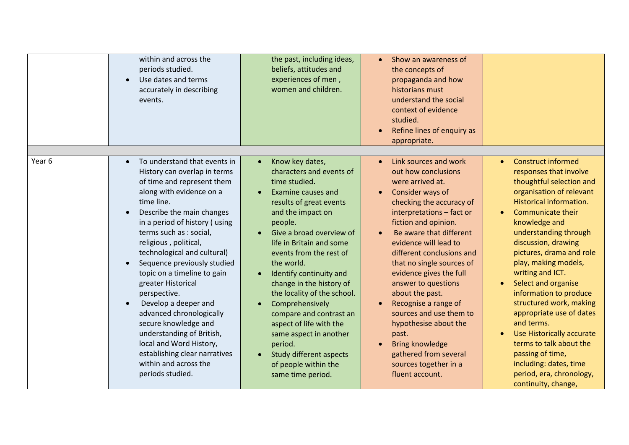|        | within and across the<br>periods studied.<br>Use dates and terms<br>accurately in describing<br>events.                                                                                                                                                                                                                                                                                                                                                                                                                                                                                                                                                         | the past, including ideas,<br>beliefs, attitudes and<br>experiences of men,<br>women and children.                                                                                                                                                                                                                                                                                                                                                                                                                         | Show an awareness of<br>$\bullet$<br>the concepts of<br>propaganda and how<br>historians must<br>understand the social<br>context of evidence<br>studied.<br>Refine lines of enquiry as<br>$\bullet$<br>appropriate.                                                                                                                                                                                                                                                                                                                                                   |                                                                                                                                                                                                                                                                                                                                                                                                                                                                                                                                                                                                         |
|--------|-----------------------------------------------------------------------------------------------------------------------------------------------------------------------------------------------------------------------------------------------------------------------------------------------------------------------------------------------------------------------------------------------------------------------------------------------------------------------------------------------------------------------------------------------------------------------------------------------------------------------------------------------------------------|----------------------------------------------------------------------------------------------------------------------------------------------------------------------------------------------------------------------------------------------------------------------------------------------------------------------------------------------------------------------------------------------------------------------------------------------------------------------------------------------------------------------------|------------------------------------------------------------------------------------------------------------------------------------------------------------------------------------------------------------------------------------------------------------------------------------------------------------------------------------------------------------------------------------------------------------------------------------------------------------------------------------------------------------------------------------------------------------------------|---------------------------------------------------------------------------------------------------------------------------------------------------------------------------------------------------------------------------------------------------------------------------------------------------------------------------------------------------------------------------------------------------------------------------------------------------------------------------------------------------------------------------------------------------------------------------------------------------------|
| Year 6 | To understand that events in<br>$\bullet$<br>History can overlap in terms<br>of time and represent them<br>along with evidence on a<br>time line.<br>Describe the main changes<br>$\bullet$<br>in a period of history (using<br>terms such as : social,<br>religious, political,<br>technological and cultural)<br>Sequence previously studied<br>$\bullet$<br>topic on a timeline to gain<br>greater Historical<br>perspective.<br>Develop a deeper and<br>$\bullet$<br>advanced chronologically<br>secure knowledge and<br>understanding of British,<br>local and Word History,<br>establishing clear narratives<br>within and across the<br>periods studied. | Know key dates,<br>characters and events of<br>time studied.<br>Examine causes and<br>results of great events<br>and the impact on<br>people.<br>Give a broad overview of<br>life in Britain and some<br>events from the rest of<br>the world.<br>Identify continuity and<br>change in the history of<br>the locality of the school.<br>Comprehensively<br>compare and contrast an<br>aspect of life with the<br>same aspect in another<br>period.<br>Study different aspects<br>of people within the<br>same time period. | Link sources and work<br>$\bullet$<br>out how conclusions<br>were arrived at.<br>Consider ways of<br>$\bullet$<br>checking the accuracy of<br>interpretations - fact or<br>fiction and opinion.<br>Be aware that different<br>evidence will lead to<br>different conclusions and<br>that no single sources of<br>evidence gives the full<br>answer to questions<br>about the past.<br>Recognise a range of<br>sources and use them to<br>hypothesise about the<br>past.<br><b>Bring knowledge</b><br>gathered from several<br>sources together in a<br>fluent account. | <b>Construct informed</b><br>$\bullet$<br>responses that involve<br>thoughtful selection and<br>organisation of relevant<br>Historical information.<br><b>Communicate their</b><br>knowledge and<br>understanding through<br>discussion, drawing<br>pictures, drama and role<br>play, making models,<br>writing and ICT.<br>Select and organise<br>information to produce<br>structured work, making<br>appropriate use of dates<br>and terms.<br>Use Historically accurate<br>terms to talk about the<br>passing of time,<br>including: dates, time<br>period, era, chronology,<br>continuity, change, |